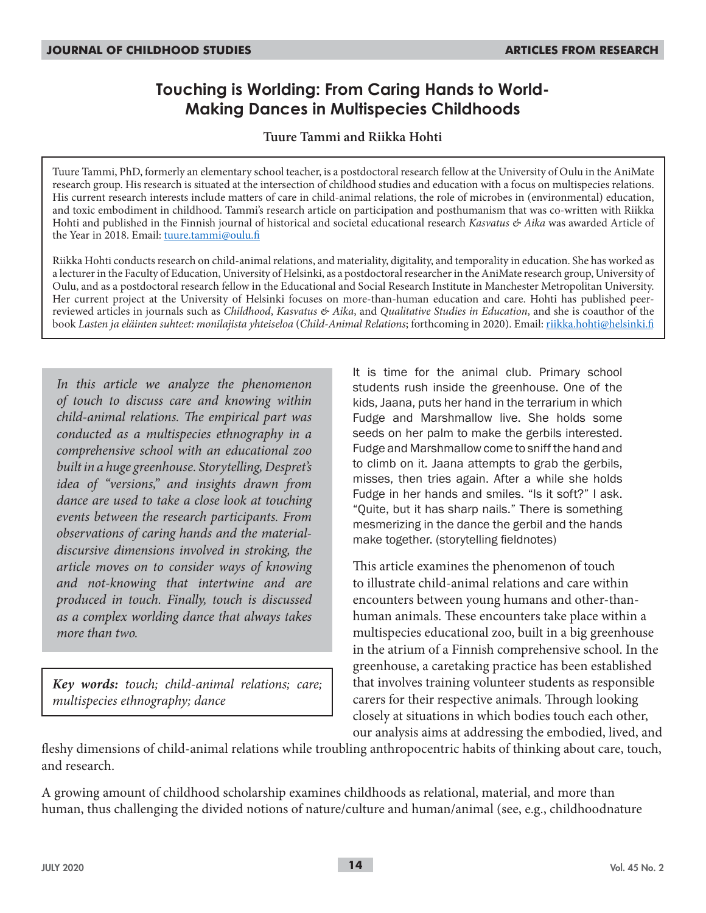# **Touching is Worlding: From Caring Hands to World-Making Dances in Multispecies Childhoods**

### **Tuure Tammi and Riikka Hohti**

Tuure Tammi, PhD, formerly an elementary school teacher, is a postdoctoral research fellow at the University of Oulu in the AniMate research group. His research is situated at the intersection of childhood studies and education with a focus on multispecies relations. His current research interests include matters of care in child-animal relations, the role of microbes in (environmental) education, and toxic embodiment in childhood. Tammi's research article on participation and posthumanism that was co-written with Riikka Hohti and published in the Finnish journal of historical and societal educational research *Kasvatus & Aika* was awarded Article of the Year in 2018. Email: tuure.tammi@oulu.fi

Riikka Hohti conducts research on child-animal relations, and materiality, digitality, and temporality in education. She has worked as a lecturer in the Faculty of Education, University of Helsinki, as a postdoctoral researcher in the AniMate research group, University of Oulu, and as a postdoctoral research fellow in the Educational and Social Research Institute in Manchester Metropolitan University. Her current project at the University of Helsinki focuses on more-than-human education and care. Hohti has published peerreviewed articles in journals such as *Childhood*, *Kasvatus & Aika*, and *Qualitative Studies in Education*, and she is coauthor of the book *Lasten ja eläinten suhteet: monilajista yhteiseloa* (*Child-Animal Relations*; forthcoming in 2020). Email: riikka.hohti@helsinki.fi

*In this article we analyze the phenomenon of touch to discuss care and knowing within child-animal relations. The empirical part was conducted as a multispecies ethnography in a comprehensive school with an educational zoo built in a huge greenhouse. Storytelling, Despret's idea of "versions," and insights drawn from dance are used to take a close look at touching events between the research participants. From observations of caring hands and the materialdiscursive dimensions involved in stroking, the article moves on to consider ways of knowing and not-knowing that intertwine and are produced in touch. Finally, touch is discussed as a complex worlding dance that always takes more than two.*

*Key words: touch; child-animal relations; care; multispecies ethnography; dance*

It is time for the animal club. Primary school students rush inside the greenhouse. One of the kids, Jaana, puts her hand in the terrarium in which Fudge and Marshmallow live. She holds some seeds on her palm to make the gerbils interested. Fudge and Marshmallow come to sniff the hand and to climb on it. Jaana attempts to grab the gerbils, misses, then tries again. After a while she holds Fudge in her hands and smiles. "Is it soft?" I ask. "Quite, but it has sharp nails." There is something mesmerizing in the dance the gerbil and the hands make together. (storytelling fieldnotes)

This article examines the phenomenon of touch to illustrate child-animal relations and care within encounters between young humans and other-thanhuman animals. These encounters take place within a multispecies educational zoo, built in a big greenhouse in the atrium of a Finnish comprehensive school. In the greenhouse, a caretaking practice has been established that involves training volunteer students as responsible carers for their respective animals. Through looking closely at situations in which bodies touch each other, our analysis aims at addressing the embodied, lived, and

fleshy dimensions of child-animal relations while troubling anthropocentric habits of thinking about care, touch, and research.

A growing amount of childhood scholarship examines childhoods as relational, material, and more than human, thus challenging the divided notions of nature/culture and human/animal (see, e.g., childhoodnature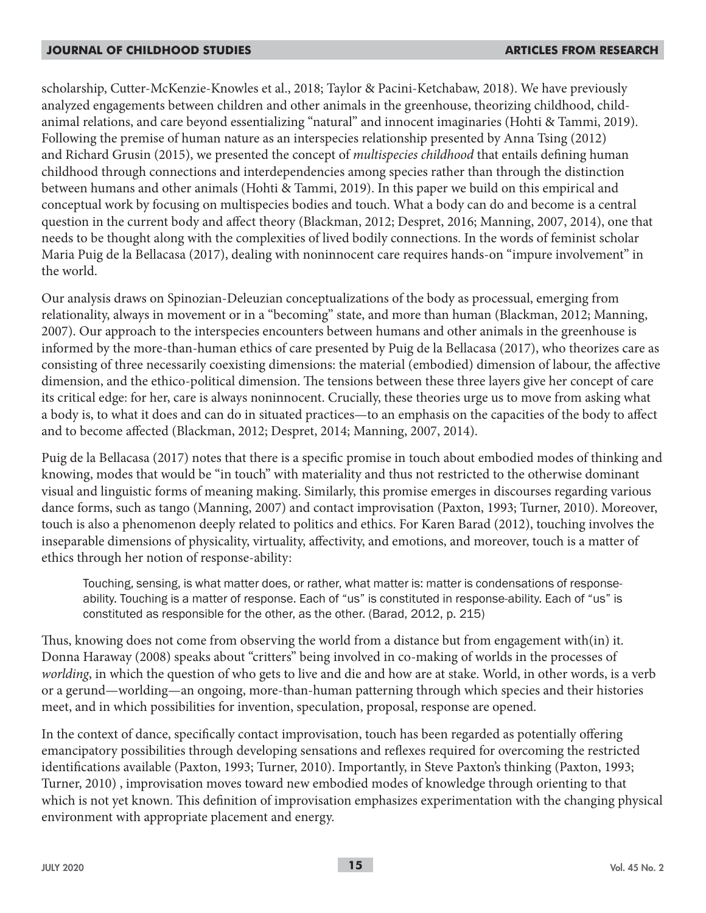scholarship, Cutter-McKenzie-Knowles et al., 2018; Taylor & Pacini-Ketchabaw, 2018). We have previously analyzed engagements between children and other animals in the greenhouse, theorizing childhood, childanimal relations, and care beyond essentializing "natural" and innocent imaginaries (Hohti & Tammi, 2019). Following the premise of human nature as an interspecies relationship presented by Anna Tsing (2012) and Richard Grusin (2015), we presented the concept of *multispecies childhood* that entails defining human childhood through connections and interdependencies among species rather than through the distinction between humans and other animals (Hohti & Tammi, 2019). In this paper we build on this empirical and conceptual work by focusing on multispecies bodies and touch. What a body can do and become is a central question in the current body and affect theory (Blackman, 2012; Despret, 2016; Manning, 2007, 2014), one that needs to be thought along with the complexities of lived bodily connections. In the words of feminist scholar Maria Puig de la Bellacasa (2017), dealing with noninnocent care requires hands-on "impure involvement" in the world.

Our analysis draws on Spinozian-Deleuzian conceptualizations of the body as processual, emerging from relationality, always in movement or in a "becoming" state, and more than human (Blackman, 2012; Manning, 2007). Our approach to the interspecies encounters between humans and other animals in the greenhouse is informed by the more-than-human ethics of care presented by Puig de la Bellacasa (2017), who theorizes care as consisting of three necessarily coexisting dimensions: the material (embodied) dimension of labour, the affective dimension, and the ethico-political dimension. The tensions between these three layers give her concept of care its critical edge: for her, care is always noninnocent. Crucially, these theories urge us to move from asking what a body is, to what it does and can do in situated practices—to an emphasis on the capacities of the body to affect and to become affected (Blackman, 2012; Despret, 2014; Manning, 2007, 2014).

Puig de la Bellacasa (2017) notes that there is a specific promise in touch about embodied modes of thinking and knowing, modes that would be "in touch" with materiality and thus not restricted to the otherwise dominant visual and linguistic forms of meaning making. Similarly, this promise emerges in discourses regarding various dance forms, such as tango (Manning, 2007) and contact improvisation (Paxton, 1993; Turner, 2010). Moreover, touch is also a phenomenon deeply related to politics and ethics. For Karen Barad (2012), touching involves the inseparable dimensions of physicality, virtuality, affectivity, and emotions, and moreover, touch is a matter of ethics through her notion of response-ability:

Touching, sensing, is what matter does, or rather, what matter is: matter is condensations of responseability. Touching is a matter of response. Each of "us" is constituted in response-ability. Each of "us" is constituted as responsible for the other, as the other. (Barad, 2012, p. 215)

Thus, knowing does not come from observing the world from a distance but from engagement with(in) it. Donna Haraway (2008) speaks about "critters" being involved in co-making of worlds in the processes of *worlding*, in which the question of who gets to live and die and how are at stake. World, in other words, is a verb or a gerund—worlding—an ongoing, more-than-human patterning through which species and their histories meet, and in which possibilities for invention, speculation, proposal, response are opened.

In the context of dance, specifically contact improvisation, touch has been regarded as potentially offering emancipatory possibilities through developing sensations and reflexes required for overcoming the restricted identifications available (Paxton, 1993; Turner, 2010). Importantly, in Steve Paxton's thinking (Paxton, 1993; Turner, 2010) , improvisation moves toward new embodied modes of knowledge through orienting to that which is not yet known. This definition of improvisation emphasizes experimentation with the changing physical environment with appropriate placement and energy.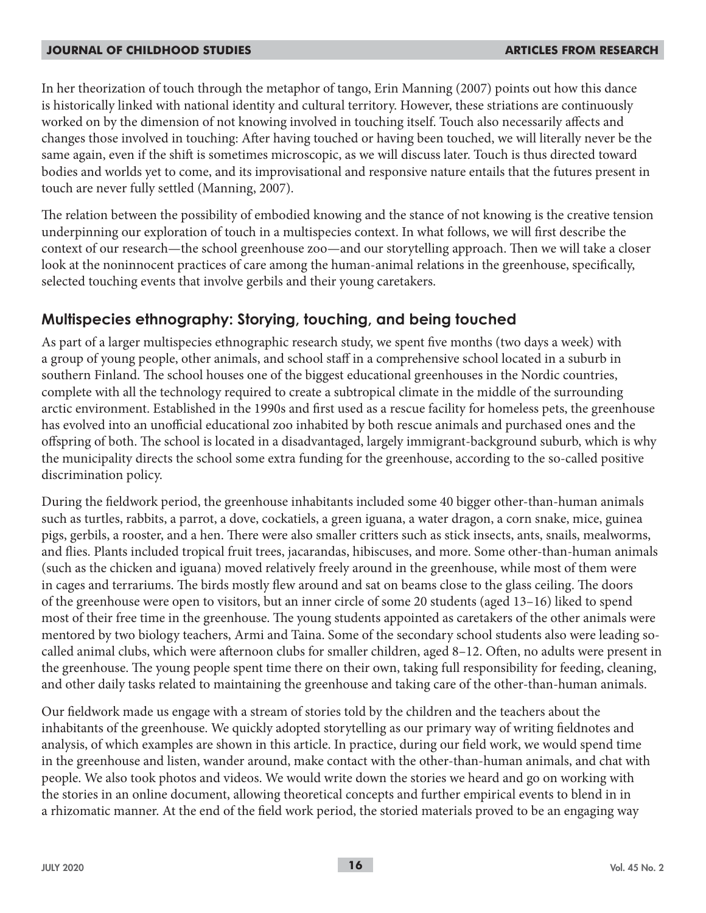In her theorization of touch through the metaphor of tango, Erin Manning (2007) points out how this dance is historically linked with national identity and cultural territory. However, these striations are continuously worked on by the dimension of not knowing involved in touching itself. Touch also necessarily affects and changes those involved in touching: After having touched or having been touched, we will literally never be the same again, even if the shift is sometimes microscopic, as we will discuss later. Touch is thus directed toward bodies and worlds yet to come, and its improvisational and responsive nature entails that the futures present in touch are never fully settled (Manning, 2007).

The relation between the possibility of embodied knowing and the stance of not knowing is the creative tension underpinning our exploration of touch in a multispecies context. In what follows, we will first describe the context of our research—the school greenhouse zoo—and our storytelling approach. Then we will take a closer look at the noninnocent practices of care among the human-animal relations in the greenhouse, specifically, selected touching events that involve gerbils and their young caretakers.

## **Multispecies ethnography: Storying, touching, and being touched**

As part of a larger multispecies ethnographic research study, we spent five months (two days a week) with a group of young people, other animals, and school staff in a comprehensive school located in a suburb in southern Finland. The school houses one of the biggest educational greenhouses in the Nordic countries, complete with all the technology required to create a subtropical climate in the middle of the surrounding arctic environment. Established in the 1990s and first used as a rescue facility for homeless pets, the greenhouse has evolved into an unofficial educational zoo inhabited by both rescue animals and purchased ones and the offspring of both. The school is located in a disadvantaged, largely immigrant-background suburb, which is why the municipality directs the school some extra funding for the greenhouse, according to the so-called positive discrimination policy.

During the fieldwork period, the greenhouse inhabitants included some 40 bigger other-than-human animals such as turtles, rabbits, a parrot, a dove, cockatiels, a green iguana, a water dragon, a corn snake, mice, guinea pigs, gerbils, a rooster, and a hen. There were also smaller critters such as stick insects, ants, snails, mealworms, and flies. Plants included tropical fruit trees, jacarandas, hibiscuses, and more. Some other-than-human animals (such as the chicken and iguana) moved relatively freely around in the greenhouse, while most of them were in cages and terrariums. The birds mostly flew around and sat on beams close to the glass ceiling. The doors of the greenhouse were open to visitors, but an inner circle of some 20 students (aged 13–16) liked to spend most of their free time in the greenhouse. The young students appointed as caretakers of the other animals were mentored by two biology teachers, Armi and Taina. Some of the secondary school students also were leading socalled animal clubs, which were afternoon clubs for smaller children, aged 8–12. Often, no adults were present in the greenhouse. The young people spent time there on their own, taking full responsibility for feeding, cleaning, and other daily tasks related to maintaining the greenhouse and taking care of the other-than-human animals.

Our fieldwork made us engage with a stream of stories told by the children and the teachers about the inhabitants of the greenhouse. We quickly adopted storytelling as our primary way of writing fieldnotes and analysis, of which examples are shown in this article. In practice, during our field work, we would spend time in the greenhouse and listen, wander around, make contact with the other-than-human animals, and chat with people. We also took photos and videos. We would write down the stories we heard and go on working with the stories in an online document, allowing theoretical concepts and further empirical events to blend in in a rhizomatic manner. At the end of the field work period, the storied materials proved to be an engaging way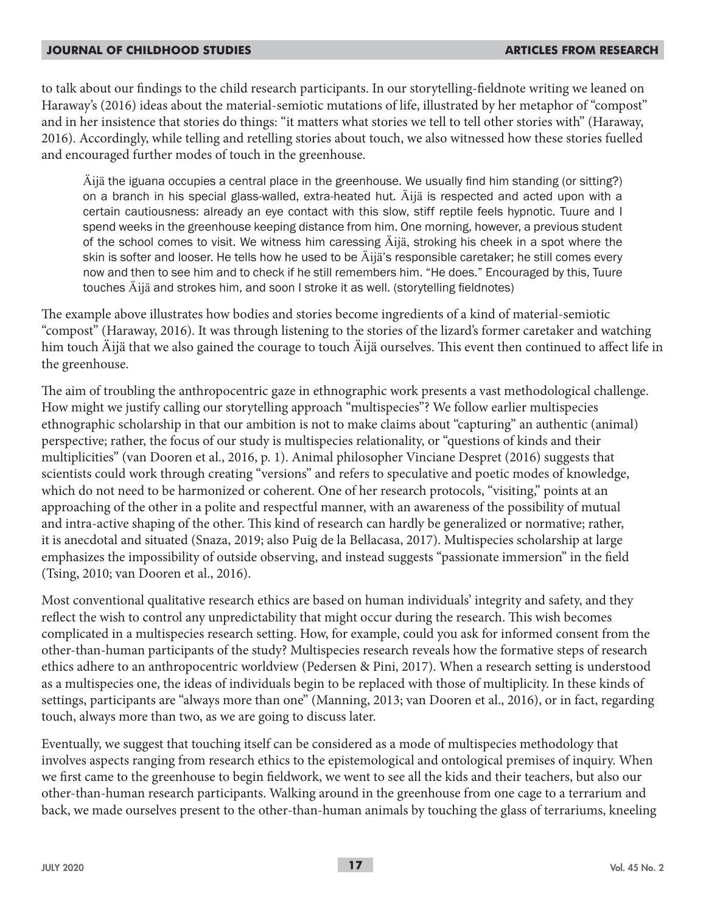to talk about our findings to the child research participants. In our storytelling-fieldnote writing we leaned on Haraway's (2016) ideas about the material-semiotic mutations of life, illustrated by her metaphor of "compost" and in her insistence that stories do things: "it matters what stories we tell to tell other stories with" (Haraway, 2016). Accordingly, while telling and retelling stories about touch, we also witnessed how these stories fuelled and encouraged further modes of touch in the greenhouse.

Äijä the iguana occupies a central place in the greenhouse. We usually find him standing (or sitting?) on a branch in his special glass-walled, extra-heated hut. Äijä is respected and acted upon with a certain cautiousness: already an eye contact with this slow, stiff reptile feels hypnotic. Tuure and I spend weeks in the greenhouse keeping distance from him. One morning, however, a previous student of the school comes to visit. We witness him caressing Äijä, stroking his cheek in a spot where the skin is softer and looser. He tells how he used to be Äijä's responsible caretaker; he still comes every now and then to see him and to check if he still remembers him. "He does." Encouraged by this, Tuure touches Äijä and strokes him, and soon I stroke it as well. (storytelling fieldnotes)

The example above illustrates how bodies and stories become ingredients of a kind of material-semiotic "compost" (Haraway, 2016). It was through listening to the stories of the lizard's former caretaker and watching him touch Äijä that we also gained the courage to touch Äijä ourselves. This event then continued to affect life in the greenhouse.

The aim of troubling the anthropocentric gaze in ethnographic work presents a vast methodological challenge. How might we justify calling our storytelling approach "multispecies"? We follow earlier multispecies ethnographic scholarship in that our ambition is not to make claims about "capturing" an authentic (animal) perspective; rather, the focus of our study is multispecies relationality, or "questions of kinds and their multiplicities" (van Dooren et al., 2016, p. 1). Animal philosopher Vinciane Despret (2016) suggests that scientists could work through creating "versions" and refers to speculative and poetic modes of knowledge, which do not need to be harmonized or coherent. One of her research protocols, "visiting," points at an approaching of the other in a polite and respectful manner, with an awareness of the possibility of mutual and intra-active shaping of the other. This kind of research can hardly be generalized or normative; rather, it is anecdotal and situated (Snaza, 2019; also Puig de la Bellacasa, 2017). Multispecies scholarship at large emphasizes the impossibility of outside observing, and instead suggests "passionate immersion" in the field (Tsing, 2010; van Dooren et al., 2016).

Most conventional qualitative research ethics are based on human individuals' integrity and safety, and they reflect the wish to control any unpredictability that might occur during the research. This wish becomes complicated in a multispecies research setting. How, for example, could you ask for informed consent from the other-than-human participants of the study? Multispecies research reveals how the formative steps of research ethics adhere to an anthropocentric worldview (Pedersen & Pini, 2017). When a research setting is understood as a multispecies one, the ideas of individuals begin to be replaced with those of multiplicity. In these kinds of settings, participants are "always more than one" (Manning, 2013; van Dooren et al., 2016), or in fact, regarding touch, always more than two, as we are going to discuss later.

Eventually, we suggest that touching itself can be considered as a mode of multispecies methodology that involves aspects ranging from research ethics to the epistemological and ontological premises of inquiry. When we first came to the greenhouse to begin fieldwork, we went to see all the kids and their teachers, but also our other-than-human research participants. Walking around in the greenhouse from one cage to a terrarium and back, we made ourselves present to the other-than-human animals by touching the glass of terrariums, kneeling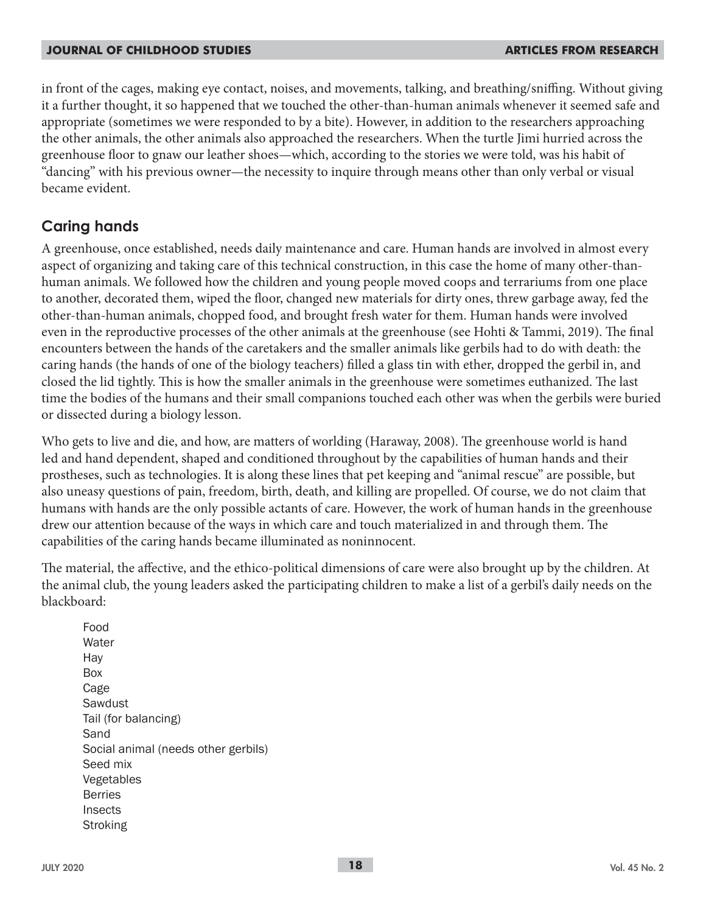in front of the cages, making eye contact, noises, and movements, talking, and breathing/sniffing. Without giving it a further thought, it so happened that we touched the other-than-human animals whenever it seemed safe and appropriate (sometimes we were responded to by a bite). However, in addition to the researchers approaching the other animals, the other animals also approached the researchers. When the turtle Jimi hurried across the greenhouse floor to gnaw our leather shoes—which, according to the stories we were told, was his habit of "dancing" with his previous owner—the necessity to inquire through means other than only verbal or visual became evident.

## **Caring hands**

A greenhouse, once established, needs daily maintenance and care. Human hands are involved in almost every aspect of organizing and taking care of this technical construction, in this case the home of many other-thanhuman animals. We followed how the children and young people moved coops and terrariums from one place to another, decorated them, wiped the floor, changed new materials for dirty ones, threw garbage away, fed the other-than-human animals, chopped food, and brought fresh water for them. Human hands were involved even in the reproductive processes of the other animals at the greenhouse (see Hohti & Tammi, 2019). The final encounters between the hands of the caretakers and the smaller animals like gerbils had to do with death: the caring hands (the hands of one of the biology teachers) filled a glass tin with ether, dropped the gerbil in, and closed the lid tightly. This is how the smaller animals in the greenhouse were sometimes euthanized. The last time the bodies of the humans and their small companions touched each other was when the gerbils were buried or dissected during a biology lesson.

Who gets to live and die, and how, are matters of worlding (Haraway, 2008). The greenhouse world is hand led and hand dependent, shaped and conditioned throughout by the capabilities of human hands and their prostheses, such as technologies. It is along these lines that pet keeping and "animal rescue" are possible, but also uneasy questions of pain, freedom, birth, death, and killing are propelled. Of course, we do not claim that humans with hands are the only possible actants of care. However, the work of human hands in the greenhouse drew our attention because of the ways in which care and touch materialized in and through them. The capabilities of the caring hands became illuminated as noninnocent.

The material, the affective, and the ethico-political dimensions of care were also brought up by the children. At the animal club, the young leaders asked the participating children to make a list of a gerbil's daily needs on the blackboard:

Food **Water** Hay Box Cage Sawdust Tail (for balancing) Sand Social animal (needs other gerbils) Seed mix Vegetables Berries Insects Stroking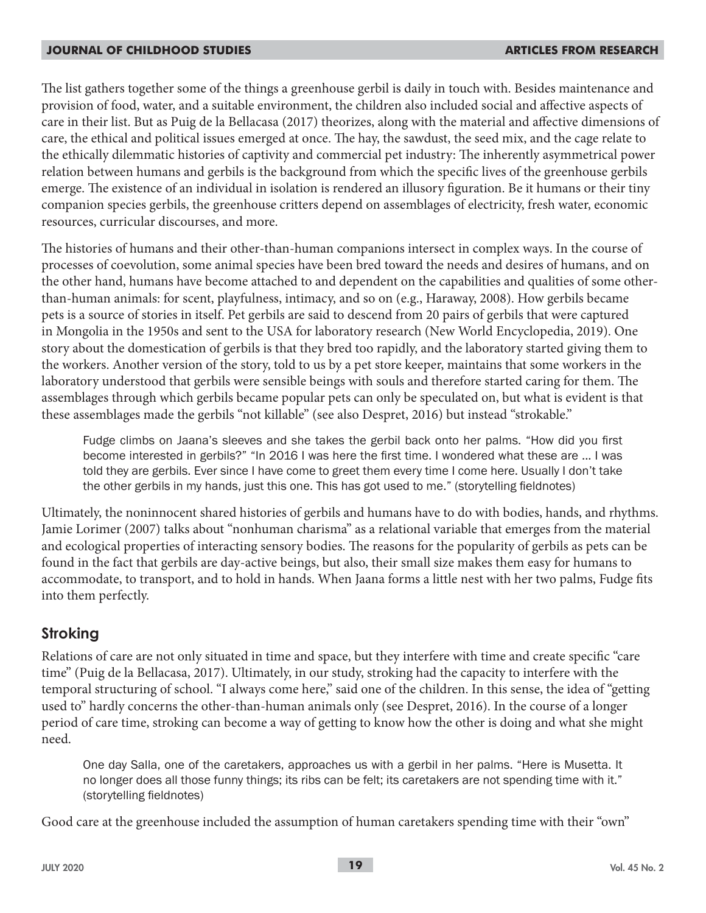The list gathers together some of the things a greenhouse gerbil is daily in touch with. Besides maintenance and provision of food, water, and a suitable environment, the children also included social and affective aspects of care in their list. But as Puig de la Bellacasa (2017) theorizes, along with the material and affective dimensions of care, the ethical and political issues emerged at once. The hay, the sawdust, the seed mix, and the cage relate to the ethically dilemmatic histories of captivity and commercial pet industry: The inherently asymmetrical power relation between humans and gerbils is the background from which the specific lives of the greenhouse gerbils emerge. The existence of an individual in isolation is rendered an illusory figuration. Be it humans or their tiny companion species gerbils, the greenhouse critters depend on assemblages of electricity, fresh water, economic resources, curricular discourses, and more.

The histories of humans and their other-than-human companions intersect in complex ways. In the course of processes of coevolution, some animal species have been bred toward the needs and desires of humans, and on the other hand, humans have become attached to and dependent on the capabilities and qualities of some otherthan-human animals: for scent, playfulness, intimacy, and so on (e.g., Haraway, 2008). How gerbils became pets is a source of stories in itself. Pet gerbils are said to descend from 20 pairs of gerbils that were captured in Mongolia in the 1950s and sent to the USA for laboratory research (New World Encyclopedia, 2019). One story about the domestication of gerbils is that they bred too rapidly, and the laboratory started giving them to the workers. Another version of the story, told to us by a pet store keeper, maintains that some workers in the laboratory understood that gerbils were sensible beings with souls and therefore started caring for them. The assemblages through which gerbils became popular pets can only be speculated on, but what is evident is that these assemblages made the gerbils "not killable" (see also Despret, 2016) but instead "strokable."

Fudge climbs on Jaana's sleeves and she takes the gerbil back onto her palms. "How did you first become interested in gerbils?" "In 2016 I was here the first time. I wondered what these are ... I was told they are gerbils. Ever since I have come to greet them every time I come here. Usually I don't take the other gerbils in my hands, just this one. This has got used to me." (storytelling fieldnotes)

Ultimately, the noninnocent shared histories of gerbils and humans have to do with bodies, hands, and rhythms. Jamie Lorimer (2007) talks about "nonhuman charisma" as a relational variable that emerges from the material and ecological properties of interacting sensory bodies. The reasons for the popularity of gerbils as pets can be found in the fact that gerbils are day-active beings, but also, their small size makes them easy for humans to accommodate, to transport, and to hold in hands. When Jaana forms a little nest with her two palms, Fudge fits into them perfectly.

### **Stroking**

Relations of care are not only situated in time and space, but they interfere with time and create specific "care time" (Puig de la Bellacasa, 2017). Ultimately, in our study, stroking had the capacity to interfere with the temporal structuring of school. "I always come here," said one of the children. In this sense, the idea of "getting used to" hardly concerns the other-than-human animals only (see Despret, 2016). In the course of a longer period of care time, stroking can become a way of getting to know how the other is doing and what she might need.

One day Salla, one of the caretakers, approaches us with a gerbil in her palms. "Here is Musetta. It no longer does all those funny things; its ribs can be felt; its caretakers are not spending time with it." (storytelling fieldnotes)

Good care at the greenhouse included the assumption of human caretakers spending time with their "own"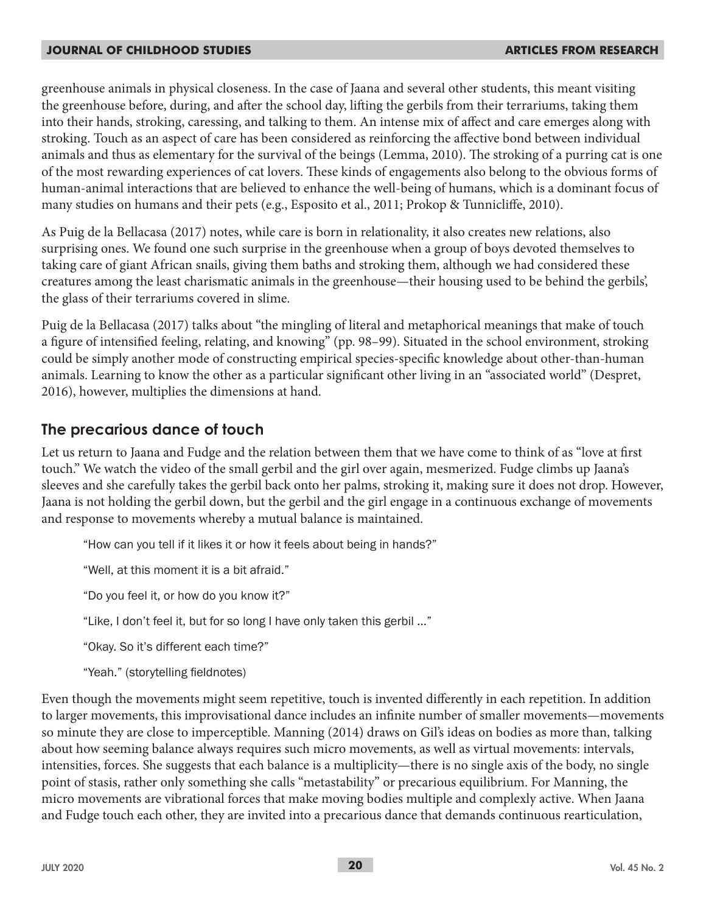greenhouse animals in physical closeness. In the case of Jaana and several other students, this meant visiting the greenhouse before, during, and after the school day, lifting the gerbils from their terrariums, taking them into their hands, stroking, caressing, and talking to them. An intense mix of affect and care emerges along with stroking. Touch as an aspect of care has been considered as reinforcing the affective bond between individual animals and thus as elementary for the survival of the beings (Lemma, 2010). The stroking of a purring cat is one of the most rewarding experiences of cat lovers. These kinds of engagements also belong to the obvious forms of human-animal interactions that are believed to enhance the well-being of humans, which is a dominant focus of many studies on humans and their pets (e.g., Esposito et al., 2011; Prokop & Tunnicliffe, 2010).

As Puig de la Bellacasa (2017) notes, while care is born in relationality, it also creates new relations, also surprising ones. We found one such surprise in the greenhouse when a group of boys devoted themselves to taking care of giant African snails, giving them baths and stroking them, although we had considered these creatures among the least charismatic animals in the greenhouse—their housing used to be behind the gerbils', the glass of their terrariums covered in slime.

Puig de la Bellacasa (2017) talks about "the mingling of literal and metaphorical meanings that make of touch a figure of intensified feeling, relating, and knowing" (pp. 98–99). Situated in the school environment, stroking could be simply another mode of constructing empirical species-specific knowledge about other-than-human animals. Learning to know the other as a particular significant other living in an "associated world" (Despret, 2016), however, multiplies the dimensions at hand.

### **The precarious dance of touch**

Let us return to Jaana and Fudge and the relation between them that we have come to think of as "love at first touch." We watch the video of the small gerbil and the girl over again, mesmerized. Fudge climbs up Jaana's sleeves and she carefully takes the gerbil back onto her palms, stroking it, making sure it does not drop. However, Jaana is not holding the gerbil down, but the gerbil and the girl engage in a continuous exchange of movements and response to movements whereby a mutual balance is maintained.

"How can you tell if it likes it or how it feels about being in hands?"

"Well, at this moment it is a bit afraid."

"Do you feel it, or how do you know it?"

"Like, I don't feel it, but for so long I have only taken this gerbil ..."

"Okay. So it's different each time?"

"Yeah." (storytelling fieldnotes)

Even though the movements might seem repetitive, touch is invented differently in each repetition. In addition to larger movements, this improvisational dance includes an infinite number of smaller movements—movements so minute they are close to imperceptible. Manning (2014) draws on Gil's ideas on bodies as more than, talking about how seeming balance always requires such micro movements, as well as virtual movements: intervals, intensities, forces. She suggests that each balance is a multiplicity—there is no single axis of the body, no single point of stasis, rather only something she calls "metastability" or precarious equilibrium. For Manning, the micro movements are vibrational forces that make moving bodies multiple and complexly active. When Jaana and Fudge touch each other, they are invited into a precarious dance that demands continuous rearticulation,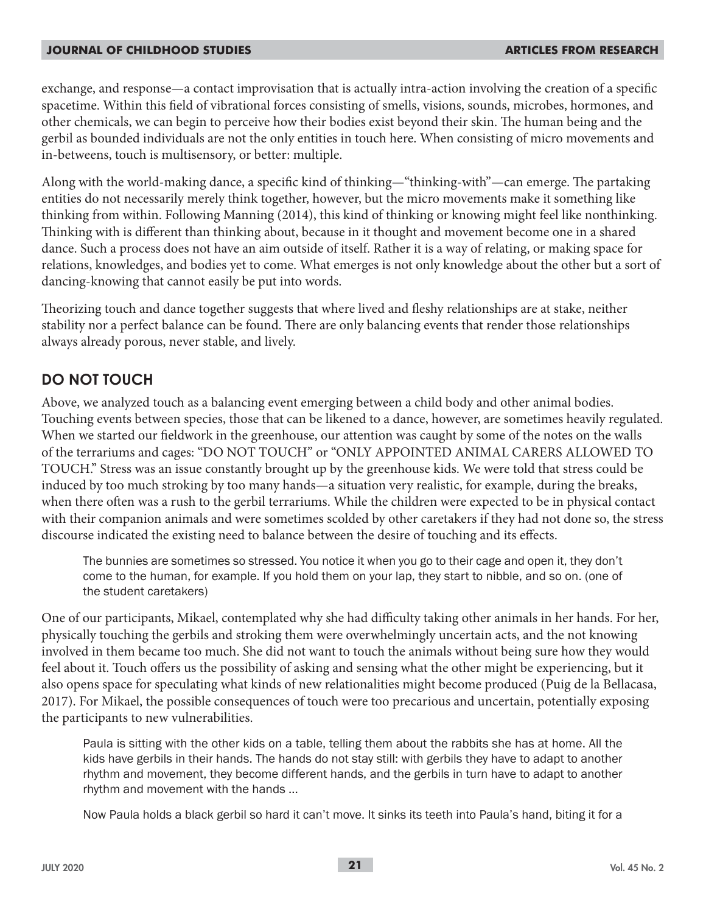exchange, and response—a contact improvisation that is actually intra-action involving the creation of a specific spacetime. Within this field of vibrational forces consisting of smells, visions, sounds, microbes, hormones, and other chemicals, we can begin to perceive how their bodies exist beyond their skin. The human being and the gerbil as bounded individuals are not the only entities in touch here. When consisting of micro movements and in-betweens, touch is multisensory, or better: multiple.

Along with the world-making dance, a specific kind of thinking—"thinking-with"—can emerge. The partaking entities do not necessarily merely think together, however, but the micro movements make it something like thinking from within. Following Manning (2014), this kind of thinking or knowing might feel like nonthinking. Thinking with is different than thinking about, because in it thought and movement become one in a shared dance. Such a process does not have an aim outside of itself. Rather it is a way of relating, or making space for relations, knowledges, and bodies yet to come. What emerges is not only knowledge about the other but a sort of dancing-knowing that cannot easily be put into words.

Theorizing touch and dance together suggests that where lived and fleshy relationships are at stake, neither stability nor a perfect balance can be found. There are only balancing events that render those relationships always already porous, never stable, and lively.

## **DO NOT TOUCH**

Above, we analyzed touch as a balancing event emerging between a child body and other animal bodies. Touching events between species, those that can be likened to a dance, however, are sometimes heavily regulated. When we started our fieldwork in the greenhouse, our attention was caught by some of the notes on the walls of the terrariums and cages: "DO NOT TOUCH" or "ONLY APPOINTED ANIMAL CARERS ALLOWED TO TOUCH." Stress was an issue constantly brought up by the greenhouse kids. We were told that stress could be induced by too much stroking by too many hands—a situation very realistic, for example, during the breaks, when there often was a rush to the gerbil terrariums. While the children were expected to be in physical contact with their companion animals and were sometimes scolded by other caretakers if they had not done so, the stress discourse indicated the existing need to balance between the desire of touching and its effects.

The bunnies are sometimes so stressed. You notice it when you go to their cage and open it, they don't come to the human, for example. If you hold them on your lap, they start to nibble, and so on. (one of the student caretakers)

One of our participants, Mikael, contemplated why she had difficulty taking other animals in her hands. For her, physically touching the gerbils and stroking them were overwhelmingly uncertain acts, and the not knowing involved in them became too much. She did not want to touch the animals without being sure how they would feel about it. Touch offers us the possibility of asking and sensing what the other might be experiencing, but it also opens space for speculating what kinds of new relationalities might become produced (Puig de la Bellacasa, 2017). For Mikael, the possible consequences of touch were too precarious and uncertain, potentially exposing the participants to new vulnerabilities.

Paula is sitting with the other kids on a table, telling them about the rabbits she has at home. All the kids have gerbils in their hands. The hands do not stay still: with gerbils they have to adapt to another rhythm and movement, they become different hands, and the gerbils in turn have to adapt to another rhythm and movement with the hands ...

Now Paula holds a black gerbil so hard it can't move. It sinks its teeth into Paula's hand, biting it for a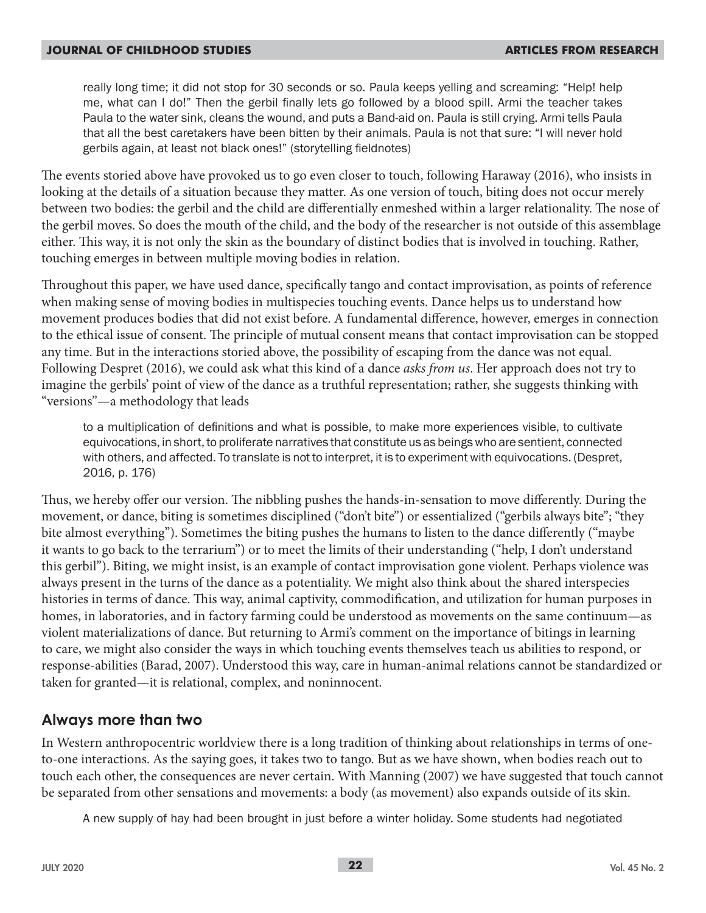really long time; it did not stop for 30 seconds or so. Paula keeps yelling and screaming: "Help! help me, what can I do!" Then the gerbil finally lets go followed by a blood spill. Armi the teacher takes Paula to the water sink, cleans the wound, and puts a Band-aid on. Paula is still crying. Armi tells Paula that all the best caretakers have been bitten by their animals. Paula is not that sure: "I will never hold gerbils again, at least not black ones!" (storytelling fieldnotes)

The events storied above have provoked us to go even closer to touch, following Haraway (2016), who insists in looking at the details of a situation because they matter. As one version of touch, biting does not occur merely between two bodies: the gerbil and the child are differentially enmeshed within a larger relationality. The nose of the gerbil moves. So does the mouth of the child, and the body of the researcher is not outside of this assemblage either. This way, it is not only the skin as the boundary of distinct bodies that is involved in touching. Rather, touching emerges in between multiple moving bodies in relation.

Throughout this paper, we have used dance, specifically tango and contact improvisation, as points of reference when making sense of moving bodies in multispecies touching events. Dance helps us to understand how movement produces bodies that did not exist before. A fundamental difference, however, emerges in connection to the ethical issue of consent. The principle of mutual consent means that contact improvisation can be stopped any time. But in the interactions storied above, the possibility of escaping from the dance was not equal. Following Despret (2016), we could ask what this kind of a dance *asks from us*. Her approach does not try to imagine the gerbils' point of view of the dance as a truthful representation; rather, she suggests thinking with "versions"—a methodology that leads

to a multiplication of definitions and what is possible, to make more experiences visible, to cultivate equivocations, in short, to proliferate narratives that constitute us as beings who are sentient, connected with others, and affected. To translate is not to interpret, it is to experiment with equivocations. (Despret, 2016, p. 176)

Thus, we hereby offer our version. The nibbling pushes the hands-in-sensation to move differently. During the movement, or dance, biting is sometimes disciplined ("don't bite") or essentialized ("gerbils always bite"; "they bite almost everything"). Sometimes the biting pushes the humans to listen to the dance differently ("maybe it wants to go back to the terrarium") or to meet the limits of their understanding ("help, I don't understand this gerbil"). Biting, we might insist, is an example of contact improvisation gone violent. Perhaps violence was always present in the turns of the dance as a potentiality. We might also think about the shared interspecies histories in terms of dance. This way, animal captivity, commodification, and utilization for human purposes in homes, in laboratories, and in factory farming could be understood as movements on the same continuum—as violent materializations of dance. But returning to Armi's comment on the importance of bitings in learning to care, we might also consider the ways in which touching events themselves teach us abilities to respond, or response-abilities (Barad, 2007). Understood this way, care in human-animal relations cannot be standardized or taken for granted—it is relational, complex, and noninnocent.

### **Always more than two**

In Western anthropocentric worldview there is a long tradition of thinking about relationships in terms of oneto-one interactions. As the saying goes, it takes two to tango. But as we have shown, when bodies reach out to touch each other, the consequences are never certain. With Manning (2007) we have suggested that touch cannot be separated from other sensations and movements: a body (as movement) also expands outside of its skin.

A new supply of hay had been brought in just before a winter holiday. Some students had negotiated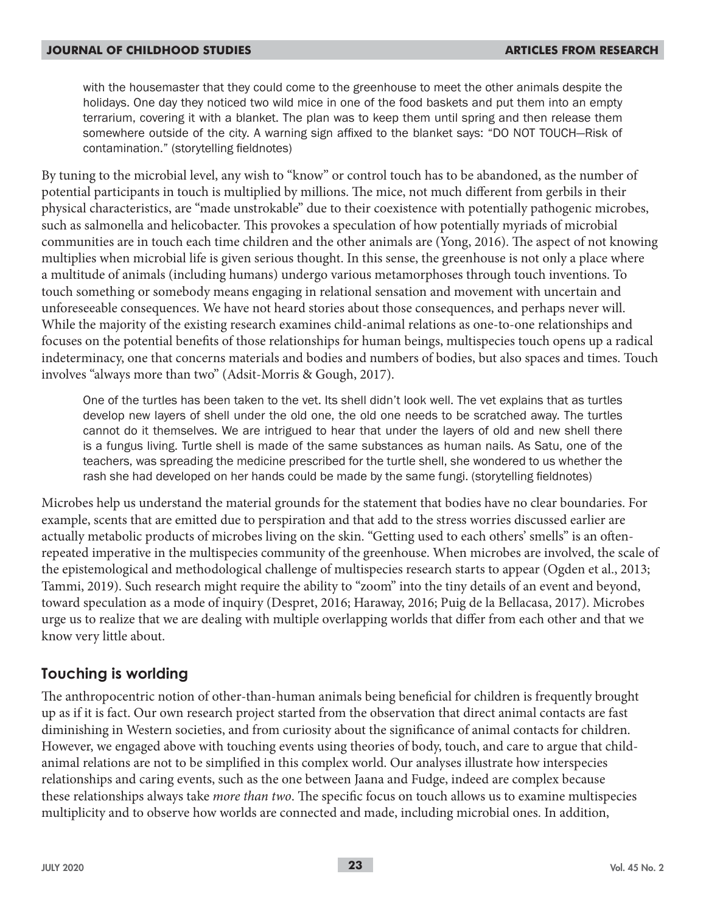with the housemaster that they could come to the greenhouse to meet the other animals despite the holidays. One day they noticed two wild mice in one of the food baskets and put them into an empty terrarium, covering it with a blanket. The plan was to keep them until spring and then release them somewhere outside of the city. A warning sign affixed to the blanket says: "DO NOT TOUCH—Risk of contamination." (storytelling fieldnotes)

By tuning to the microbial level, any wish to "know" or control touch has to be abandoned, as the number of potential participants in touch is multiplied by millions. The mice, not much different from gerbils in their physical characteristics, are "made unstrokable" due to their coexistence with potentially pathogenic microbes, such as salmonella and helicobacter. This provokes a speculation of how potentially myriads of microbial communities are in touch each time children and the other animals are (Yong, 2016). The aspect of not knowing multiplies when microbial life is given serious thought. In this sense, the greenhouse is not only a place where a multitude of animals (including humans) undergo various metamorphoses through touch inventions. To touch something or somebody means engaging in relational sensation and movement with uncertain and unforeseeable consequences. We have not heard stories about those consequences, and perhaps never will. While the majority of the existing research examines child-animal relations as one-to-one relationships and focuses on the potential benefits of those relationships for human beings, multispecies touch opens up a radical indeterminacy, one that concerns materials and bodies and numbers of bodies, but also spaces and times. Touch involves "always more than two" (Adsit-Morris & Gough, 2017).

One of the turtles has been taken to the vet. Its shell didn't look well. The vet explains that as turtles develop new layers of shell under the old one, the old one needs to be scratched away. The turtles cannot do it themselves. We are intrigued to hear that under the layers of old and new shell there is a fungus living. Turtle shell is made of the same substances as human nails. As Satu, one of the teachers, was spreading the medicine prescribed for the turtle shell, she wondered to us whether the rash she had developed on her hands could be made by the same fungi. (storytelling fieldnotes)

Microbes help us understand the material grounds for the statement that bodies have no clear boundaries. For example, scents that are emitted due to perspiration and that add to the stress worries discussed earlier are actually metabolic products of microbes living on the skin. "Getting used to each others' smells" is an oftenrepeated imperative in the multispecies community of the greenhouse. When microbes are involved, the scale of the epistemological and methodological challenge of multispecies research starts to appear (Ogden et al., 2013; Tammi, 2019). Such research might require the ability to "zoom" into the tiny details of an event and beyond, toward speculation as a mode of inquiry (Despret, 2016; Haraway, 2016; Puig de la Bellacasa, 2017). Microbes urge us to realize that we are dealing with multiple overlapping worlds that differ from each other and that we know very little about.

## **Touching is worlding**

The anthropocentric notion of other-than-human animals being beneficial for children is frequently brought up as if it is fact. Our own research project started from the observation that direct animal contacts are fast diminishing in Western societies, and from curiosity about the significance of animal contacts for children. However, we engaged above with touching events using theories of body, touch, and care to argue that childanimal relations are not to be simplified in this complex world. Our analyses illustrate how interspecies relationships and caring events, such as the one between Jaana and Fudge, indeed are complex because these relationships always take *more than two*. The specific focus on touch allows us to examine multispecies multiplicity and to observe how worlds are connected and made, including microbial ones. In addition,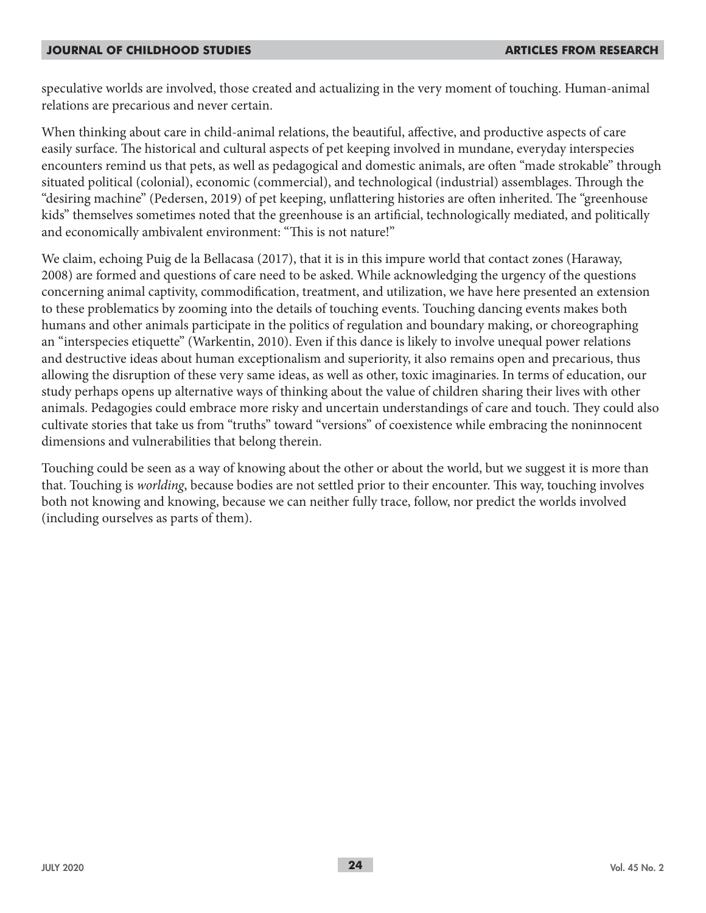speculative worlds are involved, those created and actualizing in the very moment of touching. Human-animal relations are precarious and never certain.

When thinking about care in child-animal relations, the beautiful, affective, and productive aspects of care easily surface. The historical and cultural aspects of pet keeping involved in mundane, everyday interspecies encounters remind us that pets, as well as pedagogical and domestic animals, are often "made strokable" through situated political (colonial), economic (commercial), and technological (industrial) assemblages. Through the "desiring machine" (Pedersen, 2019) of pet keeping, unflattering histories are often inherited. The "greenhouse kids" themselves sometimes noted that the greenhouse is an artificial, technologically mediated, and politically and economically ambivalent environment: "This is not nature!"

We claim, echoing Puig de la Bellacasa (2017), that it is in this impure world that contact zones (Haraway, 2008) are formed and questions of care need to be asked. While acknowledging the urgency of the questions concerning animal captivity, commodification, treatment, and utilization, we have here presented an extension to these problematics by zooming into the details of touching events. Touching dancing events makes both humans and other animals participate in the politics of regulation and boundary making, or choreographing an "interspecies etiquette" (Warkentin, 2010). Even if this dance is likely to involve unequal power relations and destructive ideas about human exceptionalism and superiority, it also remains open and precarious, thus allowing the disruption of these very same ideas, as well as other, toxic imaginaries. In terms of education, our study perhaps opens up alternative ways of thinking about the value of children sharing their lives with other animals. Pedagogies could embrace more risky and uncertain understandings of care and touch. They could also cultivate stories that take us from "truths" toward "versions" of coexistence while embracing the noninnocent dimensions and vulnerabilities that belong therein.

Touching could be seen as a way of knowing about the other or about the world, but we suggest it is more than that. Touching is *worlding*, because bodies are not settled prior to their encounter. This way, touching involves both not knowing and knowing, because we can neither fully trace, follow, nor predict the worlds involved (including ourselves as parts of them).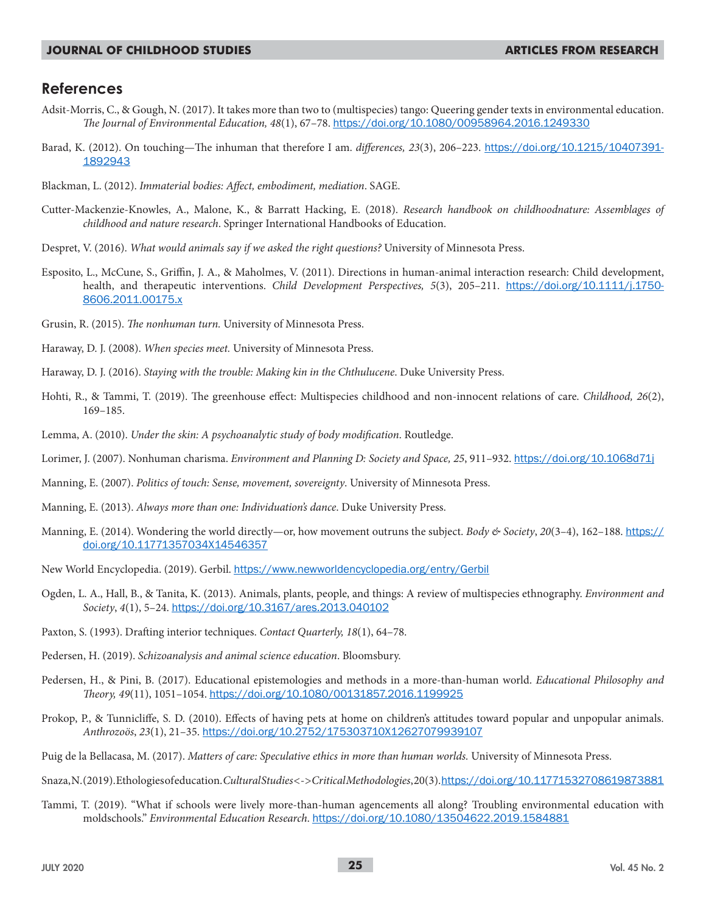#### **References**

- Adsit-Morris, C., & Gough, N. (2017). It takes more than two to (multispecies) tango: Queering gender texts in environmental education. *The Journal of Environmental Education, 48*(1), 67–78. https://doi.org/10.1080/00958964.2016.1249330
- Barad, K. (2012). On touching—The inhuman that therefore I am. *differences, 23*(3), 206–223. https://doi.org/10.1215/10407391- 1892943
- Blackman, L. (2012). *Immaterial bodies: Affect, embodiment, mediation*. SAGE.
- Cutter-Mackenzie-Knowles, A., Malone, K., & Barratt Hacking, E. (2018). *Research handbook on childhoodnature: Assemblages of childhood and nature research*. Springer International Handbooks of Education.
- Despret, V. (2016). *What would animals say if we asked the right questions?* University of Minnesota Press.
- Esposito, L., McCune, S., Griffin, J. A., & Maholmes, V. (2011). Directions in human-animal interaction research: Child development, health, and therapeutic interventions. *Child Development Perspectives, 5*(3), 205–211. https://doi.org/10.1111/j.1750- 8606.2011.00175.x
- Grusin, R. (2015). *The nonhuman turn.* University of Minnesota Press.
- Haraway, D. J. (2008). *When species meet.* University of Minnesota Press.
- Haraway, D. J. (2016). *Staying with the trouble: Making kin in the Chthulucene*. Duke University Press.
- Hohti, R., & Tammi, T. (2019). The greenhouse effect: Multispecies childhood and non-innocent relations of care. *Childhood, 26*(2), 169–185.
- Lemma, A. (2010). *Under the skin: A psychoanalytic study of body modification*. Routledge.
- Lorimer, J. (2007). Nonhuman charisma. *Environment and Planning D: Society and Space, 25*, 911–932. https://doi.org/10.1068d71j
- Manning, E. (2007). *Politics of touch: Sense, movement, sovereignty*. University of Minnesota Press.
- Manning, E. (2013). *Always more than one: Individuation's dance*. Duke University Press.
- Manning, E. (2014). Wondering the world directly—or, how movement outruns the subject. *Body & Society*, *20*(3–4), 162–188. https:// doi.org/10.11771357034X14546357
- New World Encyclopedia. (2019). Gerbil. https://www.newworldencyclopedia.org/entry/Gerbil
- Ogden, L. A., Hall, B., & Tanita, K. (2013). Animals, plants, people, and things: A review of multispecies ethnography. *Environment and Society*, *4*(1), 5–24. https://doi.org/10.3167/ares.2013.040102
- Paxton, S. (1993). Drafting interior techniques. *Contact Quarterly, 18*(1), 64–78.
- Pedersen, H. (2019). *Schizoanalysis and animal science education*. Bloomsbury.
- Pedersen, H., & Pini, B. (2017). Educational epistemologies and methods in a more-than-human world. *Educational Philosophy and Theory, 49*(11), 1051–1054. https://doi.org/10.1080/00131857.2016.1199925
- Prokop, P., & Tunnicliffe, S. D. (2010). Effects of having pets at home on children's attitudes toward popular and unpopular animals. *Anthrozoös*, *23*(1), 21–35. https://doi.org/10.2752/175303710X12627079939107
- Puig de la Bellacasa, M. (2017). *Matters of care: Speculative ethics in more than human worlds.* University of Minnesota Press.
- Snaza, N. (2019). Ethologies of education. *Cultural Studies <-> Critical Methodologies*, 20(3). https://doi.org/10.11771532708619873881
- Tammi, T. (2019). "What if schools were lively more-than-human agencements all along? Troubling environmental education with moldschools." *Environmental Education Research*. https://doi.org/10.1080/13504622.2019.1584881